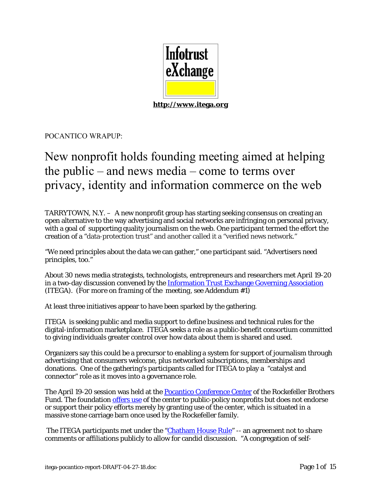

POCANTICO WRAPUP:

## New nonprofit holds founding meeting aimed at helping the public – and news media – come to terms over privacy, identity and information commerce on the web

TARRYTOWN, N.Y. – A new nonprofit group has starting seeking consensus on creating an open alternative to the way advertising and social networks are infringing on personal privacy, with a goal of supporting quality journalism on the web. One participant termed the effort the creation of a "data-protection trust" and another called it a "verified news network."

"We need principles about the data we can gather," one participant said. "Advertisers need principles, too."

About 30 news media strategists, technologists, entrepreneurs and researchers met April 19-20 in a two-day discussion convened by the Information Trust Exchange Governing Association (ITEGA*). (For more on framing of the meeting, see Addendum #1)* 

At least three initiatives appear to have been sparked by the gathering.

ITEGA is seeking public and media support to define business and technical rules for the digital-information marketplace. ITEGA seeks a role as a public-benefit consortium committed to giving individuals greater control over how data about them is shared and used.

Organizers say this could be a precursor to enabling a system for support of journalism through advertising that consumers welcome, plus networked subscriptions, memberships and donations. One of the gathering's participants called for ITEGA to play a "catalyst and connector" role as it moves into a governance role.

The April 19-20 session was held at the **Pocantico Conference Center** of the Rockefeller Brothers Fund. The foundation offers use of the center to public-policy nonprofits but does not endorse or support their policy efforts merely by granting use of the center, which is situated in a massive stone carriage barn once used by the Rockefeller family.

The ITEGA participants met under the "Chatham House Rule" -- an agreement not to share comments or affiliations publicly to allow for candid discussion. "A congregation of self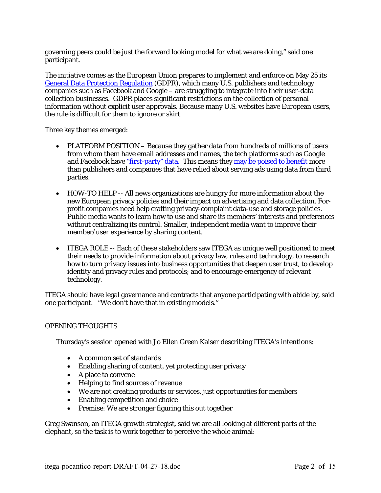governing peers could be just the forward looking model for what we are doing," said one participant.

The initiative comes as the European Union prepares to implement and enforce on May 25 its General Data Protection Regulation (GDPR), which many U.S. publishers and technology companies such as Facebook and Google – are struggling to integrate into their user-data collection businesses. GDPR places significant restrictions on the collection of personal information without explicit user approvals. Because many U.S. websites have European users, the rule is difficult for them to ignore or skirt.

Three key themes emerged:

- PLATFORM POSITION Because they gather data from hundreds of millions of users from whom them have email addresses and names, the tech platforms such as Google and Facebook have "first-party" data. This means they may be poised to benefit more than publishers and companies that have relied about serving ads using data from third parties.
- HOW-TO HELP -- All news organizations are hungry for more information about the new European privacy policies and their impact on advertising and data collection. Forprofit companies need help crafting privacy-complaint data-use and storage policies. Public media wants to learn how to use and share its members' interests and preferences without centralizing its control. Smaller, independent media want to improve their member/user experience by sharing content.
- ITEGA ROLE -- Each of these stakeholders saw ITEGA as unique well positioned to meet their needs to provide information about privacy law, rules and technology, to research how to turn privacy issues into business opportunities that deepen user trust, to develop identity and privacy rules and protocols; and to encourage emergency of relevant technology.

ITEGA should have legal governance and contracts that anyone participating with abide by, said one participant. "We don't have that in existing models."

#### OPENING THOUGHTS

Thursday's session opened with Jo Ellen Green Kaiser describing ITEGA's intentions:

- A common set of standards
- Enabling sharing of content, yet protecting user privacy
- A place to convene
- Helping to find sources of revenue
- We are not creating products or services, just opportunities for members
- Enabling competition and choice
- Premise: We are stronger figuring this out together

Greg Swanson, an ITEGA growth strategist, said we are all looking at different parts of the elephant, so the task is to work together to perceive the whole animal: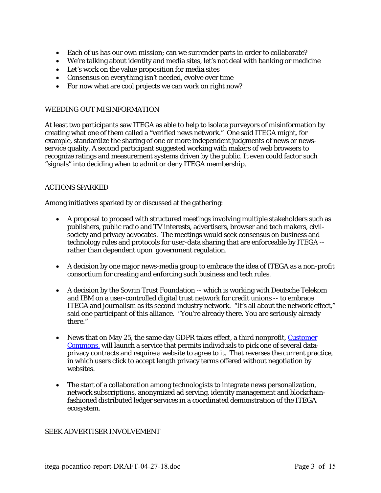- Each of us has our own mission; can we surrender parts in order to collaborate?
- We're talking about identity and media sites, let's not deal with banking or medicine
- Let's work on the value proposition for media sites
- Consensus on everything isn't needed, evolve over time
- For now what are cool projects we can work on right now?

#### WEEDING OUT MISINFORMATION

At least two participants saw ITEGA as able to help to isolate purveyors of misinformation by creating what one of them called a "verified news network." One said ITEGA might, for example, standardize the sharing of one or more independent judgments of news or newsservice quality. A second participant suggested working with makers of web browsers to recognize ratings and measurement systems driven by the public. It even could factor such "signals" into deciding when to admit or deny ITEGA membership.

#### ACTIONS SPARKED

Among initiatives sparked by or discussed at the gathering:

- A proposal to proceed with structured meetings involving multiple stakeholders such as publishers, public radio and TV interests, advertisers, browser and tech makers, civilsociety and privacy advocates. The meetings would seek consensus on business and technology rules and protocols for user-data sharing that are enforceable by ITEGA - rather than dependent upon government regulation.
- A decision by one major news-media group to embrace the idea of ITEGA as a non-profit consortium for creating and enforcing such business and tech rules.
- A decision by the Sovrin Trust Foundation -- which is working with Deutsche Telekom and IBM on a user-controlled digital trust network for credit unions -- to embrace ITEGA and journalism as its second industry network. "It's all about the network effect," said one participant of this alliance. "You're already there. You are seriously already there."
- News that on May 25, the same day GDPR takes effect, a third nonprofit, Customer Commons, will launch a service that permits individuals to pick one of several dataprivacy contracts and require a website to agree to it. That reverses the current practice, in which users click to accept length privacy terms offered without negotiation by websites.
- The start of a collaboration among technologists to integrate news personalization, network subscriptions, anonymized ad serving, identity management and blockchainfashioned distributed ledger services in a coordinated demonstration of the ITEGA ecosystem.

#### SEEK ADVERTISER INVOLVEMENT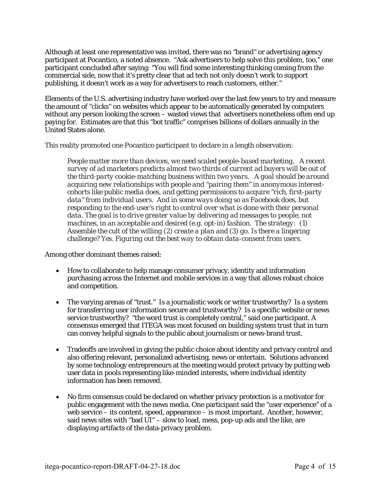Although at least one representative was invited, there was no "brand" or advertising agency participant at Pocantico, a noted absence. "Ask advertisers to help solve this problem, too," one participant concluded after saying: "You will find some interesting thinking coming from the commercial side, now that it's pretty clear that ad tech not only doesn't work to support publishing, it doesn't work as a way for advertisers to reach customers, either."

Elements of the U.S. advertising industry have worked over the last few years to try and measure the amount of "clicks" on websites which appear to be automatically generated by computers without any person looking the screen – wasted views that advertisers nonetheless often end up paying for. Estimates are that this "bot traffic" comprises billions of dollars annually in the United States alone.

This reality promoted one Pocantico participant to declare in a length observation:

*People matter more than devices, we need scaled people-based marketing, A recent survey of ad marketers predicts almost two thirds of current ad buyers will be out of the third-party cookie-matching business within two years. A goal should be around acquiring new relationships with people and "pairing them" in anonymous interestcohorts like public media does, and getting permissions to acquire "rich, first-party data" from individual users. And in some ways doing so as Facebook does, but responding to the end-user's right to control over what is done with their personal*  data. The goal is to drive greater value by delivering ad messages to people, not *machines, in an acceptable and desired (e.g. opt-in) fashion. The strategy: (1) Assemble the cult of the willing (2) create a plan and (3) go. Is there a lingering challenge? Yes. Figuring out the best way to obtain data-consent from users.* 

Among other dominant themes raised:

- How to collaborate to help manage consumer privacy, identity and information purchasing across the Internet and mobile services in a way that allows robust choice and competition.
- The varying arenas of "trust." Is a journalistic work or writer trustworthy? Is a system for transferring user information secure and trustworthy? Is a specific website or news service trustworthy? "the word trust is completely central," said one participant. A consensus emerged that ITEGA was most focused on building system trust that in turn can convey helpful signals to the public about journalism or news-brand trust.
- Tradeoffs are involved in giving the public choice about identity and privacy control and also offering relevant, personalized advertising, news or entertain. Solutions advanced by some technology entrepreneurs at the meeting would protect privacy by putting web user data in pools representing like-minded interests, where individual identity information has been removed.
- No firm consensus could be declared on whether privacy protection is a motivator for public engagement with the news media. One participant said the "user experience" of a web service – its content, speed, appearance – is most important. Another, however, said news sites with "bad  $UI$ " – slow to load, mess, pop-up ads and the like, are displaying artifacts of the data-privacy problem.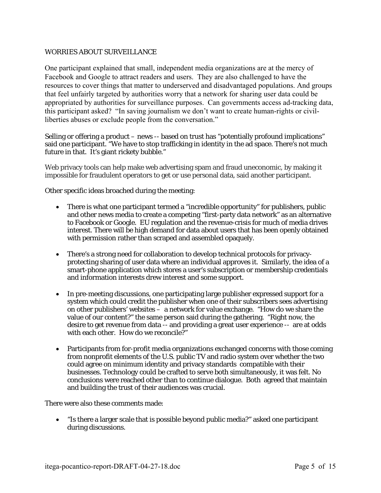#### WORRIES ABOUT SURVEILLANCE

One participant explained that small, independent media organizations are at the mercy of Facebook and Google to attract readers and users. They are also challenged to have the resources to cover things that matter to underserved and disadvantaged populations. And groups that feel unfairly targeted by authorities worry that a network for sharing user data could be appropriated by authorities for surveillance purposes. Can governments access ad-tracking data, this participant asked? "In saving journalism we don't want to create human-rights or civilliberties abuses or exclude people from the conversation."

Selling or offering a product – news -- based on trust has "potentially profound implications" said one participant. "We have to stop trafficking in identity in the ad space. There's not much future in that. It's giant rickety bubble."

Web privacy tools can help make web advertising spam and fraud uneconomic, by making it impossible for fraudulent operators to get or use personal data, said another participant.

Other specific ideas broached during the meeting:

- There is what one participant termed a "incredible opportunity" for publishers, public and other news media to create a competing "first-party data network" as an alternative to Facebook or Google. EU regulation and the revenue-crisis for much of media drives interest. There will be high demand for data about users that has been openly obtained with permission rather than scraped and assembled opaquely.
- There's a strong need for collaboration to develop technical protocols for privacyprotecting sharing of user data where an individual approves it. Similarly, the idea of a smart-phone application which stores a user's subscription or membership credentials and information interests drew interest and some support.
- In pre-meeting discussions, one participating large publisher expressed support for a system which could credit the publisher when one of their subscribers sees advertising on other publishers' websites – a network for value exchange. "How do we share the value of our content?" the same person said during the gathering. "Right now, the desire to get revenue from data -- and providing a great user experience -- are at odds with each other. How do we reconcile?"
- Participants from for-profit media organizations exchanged concerns with those coming from nonprofit elements of the U.S. public TV and radio system over whether the two could agree on minimum identity and privacy standards compatible with their businesses. Technology could be crafted to serve both simultaneously, it was felt. No conclusions were reached other than to continue dialogue. Both agreed that maintain and building the trust of their audiences was crucial.

There were also these comments made:

 "Is there a larger scale that is possible beyond public media?" asked one participant during discussions.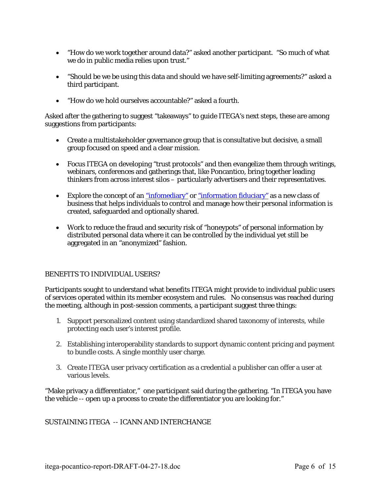- "How do we work together around data?" asked another participant. "So much of what we do in public media relies upon trust."
- "Should be we be using this data and should we have self-limiting agreements?" asked a third participant.
- "How do we hold ourselves accountable?" asked a fourth.

Asked after the gathering to suggest "takeaways" to guide ITEGA's next steps, these are among suggestions from participants:

- Create a multistakeholder governance group that is consultative but decisive, a small group focused on speed and a clear mission.
- Focus ITEGA on developing "trust protocols" and then evangelize them through writings, webinars, conferences and gatherings that, like Poncantico, bring together leading thinkers from across interest silos – particularly advertisers and their representatives.
- Explore the concept of an "infomediary" or "information fiduciary" as a new class of business that helps individuals to control and manage how their personal information is created, safeguarded and optionally shared.
- Work to reduce the fraud and security risk of "honeypots" of personal information by distributed personal data where it can be controlled by the individual yet still be aggregated in an "anonymized" fashion.

#### BENEFITS TO INDIVIDUAL USERS?

Participants sought to understand what benefits ITEGA might provide to individual public users of services operated within its member ecosystem and rules. No consensus was reached during the meeting, although in post-session comments, a participant suggest three things:

- 1. Support personalized content using standardized shared taxonomy of interests, while protecting each user's interest profile.
- 2. Establishing interoperability standards to support dynamic content pricing and payment to bundle costs. A single monthly user charge.
- 3. Create ITEGA user privacy certification as a credential a publisher can offer a user at various levels.

"Make privacy a differentiator," one participant said during the gathering. "In ITEGA you have the vehicle -- open up a process to create the differentiator you are looking for."

#### SUSTAINING ITEGA -- ICANN AND INTERCHANGE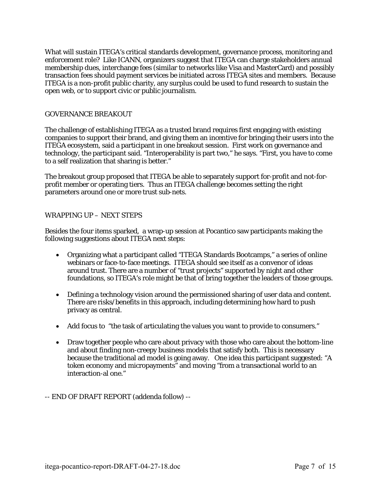What will sustain ITEGA's critical standards development, governance process, monitoring and enforcement role? Like ICANN, organizers suggest that ITEGA can charge stakeholders annual membership dues, interchange fees (similar to networks like Visa and MasterCard) and possibly transaction fees should payment services be initiated across ITEGA sites and members. Because ITEGA is a non-profit public charity, any surplus could be used to fund research to sustain the open web, or to support civic or public journalism.

#### GOVERNANCE BREAKOUT

The challenge of establishing ITEGA as a trusted brand requires first engaging with existing companies to support their brand, and giving them an incentive for bringing their users into the ITEGA ecosystem, said a participant in one breakout session. First work on governance and technology, the participant said. "Interoperability is part two," he says. "First, you have to come to a self realization that sharing is better."

The breakout group proposed that ITEGA be able to separately support for-profit and not-forprofit member or operating tiers. Thus an ITEGA challenge becomes setting the right parameters around one or more trust sub-nets.

#### WRAPPING UP – NEXT STEPS

Besides the four items sparked, a wrap-up session at Pocantico saw participants making the following suggestions about ITEGA next steps:

- Organizing what a participant called "ITEGA Standards Bootcamps," a series of online webinars or face-to-face meetings. ITEGA should see itself as a convenor of ideas around trust. There are a number of "trust projects" supported by night and other foundations, so ITEGA's role might be that of bring together the leaders of *those* groups.
- Defining a technology vision around the permissioned sharing of user data and content. There are risks/benefits in this approach, including determining how hard to push privacy as central.
- Add focus to "the task of articulating the values you want to provide to consumers."
- Draw together people who care about privacy with those who care about the bottom-line and about finding non-creepy business models that satisfy both. This is necessary because the traditional ad model is going away. One idea this participant suggested: "A token economy and micropayments" and moving "from a transactional world to an interaction-al one."
- -- END OF DRAFT REPORT (addenda follow) --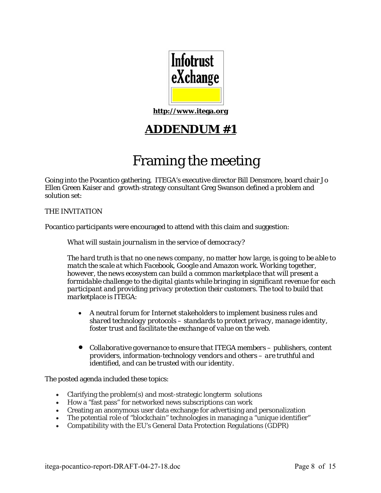

**http://www.itega.org**

## **ADDENDUM #1**

# Framing the meeting

Going into the Pocantico gathering, ITEGA's executive director Bill Densmore, board chair Jo Ellen Green Kaiser and growth-strategy consultant Greg Swanson defined a problem and solution set:

THE INVITATION

Pocantico participants were encouraged to attend with this claim and suggestion:

*What will sustain journalism in the service of democracy?* 

*The hard truth is that no one news company, no matter how large, is going to be able to match the scale at which Facebook, Google and Amazon work. Working together, however, the news ecosystem can build a common marketplace that will present a formidable challenge to the digital giants while bringing in significant revenue for each participant and providing privacy protection their customers. The tool to build that marketplace is ITEGA:* 

- *A neutral forum for Internet stakeholders to implement business rules and shared technology protocols – standards to protect privacy, manage identity, foster trust and facilitate the exchange of value on the web.*
- *Collaborative governance to ensure that ITEGA members publishers, content providers, information-technology vendors and others – are truthful and identified, and can be trusted with* our *identity.*

The posted agenda included these topics:

- Clarifying the problem(s) and most-strategic longterm solutions
- How a "fast pass" for networked news subscriptions can work
- Creating an anonymous user data exchange for advertising and personalization
- The potential role of "blockchain" technologies in managing a "unique identifier"
- Compatibility with the EU's General Data Protection Regulations (GDPR)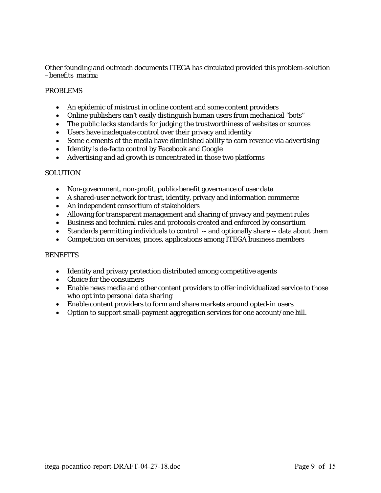Other founding and outreach documents ITEGA has circulated provided this problem-solution –benefits matrix:

#### PROBLEMS

- An epidemic of mistrust in online content and some content providers
- Online publishers can't easily distinguish human users from mechanical "bots"
- The public lacks standards for judging the trustworthiness of websites or sources
- Users have inadequate control over their privacy and identity
- Some elements of the media have diminished ability to earn revenue via advertising
- Identity is de-facto control by Facebook and Google
- Advertising and ad growth is concentrated in those two platforms

#### **SOLUTION**

- Non-government, non-profit, public-benefit governance of user data
- A shared-user network for trust, identity, privacy and information commerce
- An independent consortium of stakeholders
- Allowing for transparent management and sharing of privacy and payment rules
- Business and technical rules and protocols created and enforced by consortium
- Standards permitting individuals to control -- and optionally share -- data about them
- Competition on services, prices, applications among ITEGA business members

#### **BENEFITS**

- Identity and privacy protection distributed among competitive agents
- Choice for the consumers
- Enable news media and other content providers to offer individualized service to those who opt into personal data sharing
- Enable content providers to form and share markets around opted-in users
- Option to support small-payment aggregation services for one account/one bill.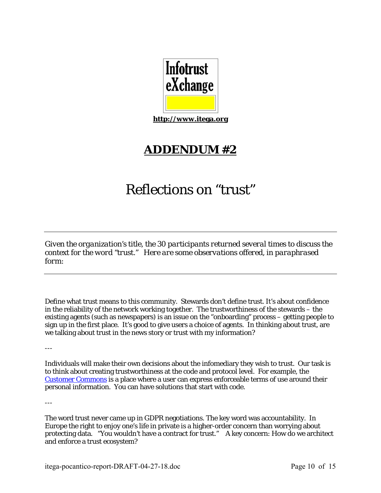

**http://www.itega.org**

## **ADDENDUM #2**

# Reflections on "trust"

*Given the organization's title, the 30 participants returned several times to discuss the context for the word "trust." Here are some observations offered, in paraphrased form:* 

Define what trust means to this community. Stewards don't define trust. It's about confidence in the reliability of the network working together. The trustworthiness of the stewards – the existing agents (such as newspapers) is an issue on the "onboarding" process – getting people to sign up in the first place. It's good to give users a choice of agents. In thinking about trust, are we talking about trust in the news story or trust with my information?

---

Individuals will make their own decisions about the infomediary they wish to trust. Our task is to think about creating trustworthiness at the code and protocol level. For example, the Customer Commons is a place where a user can express enforceable terms of use around their personal information. You can have solutions that start with code.

---

The word trust never came up in GDPR negotiations. The key word was accountability. In Europe the right to enjoy one's life in private is a higher-order concern than worrying about protecting data. "You wouldn't have a contract for trust." A key concern: How do we architect and enforce a trust ecosystem?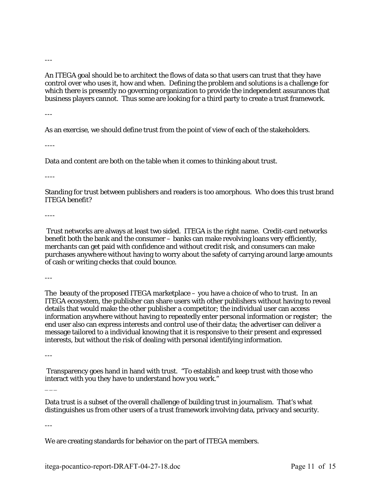---

An ITEGA goal should be to architect the flows of data so that users can trust that they have control over who uses it, how and when. Defining the problem and solutions is a challenge for which there is presently no governing organization to provide the independent assurances that business players cannot. Thus some are looking for a third party to create a trust framework.

---

As an exercise, we should define trust from the point of view of each of the stakeholders.

----

Data and content are both on the table when it comes to thinking about trust.

----

Standing for trust between publishers and readers is too amorphous. Who does this trust brand ITEGA benefit?

----

 Trust networks are always at least two sided. ITEGA is the right name. Credit-card networks benefit both the bank and the consumer – banks can make revolving loans very efficiently, merchants can get paid with confidence and without credit risk, and consumers can make purchases anywhere without having to worry about the safety of carrying around large amounts of cash or writing checks that could bounce.

---

The beauty of the proposed ITEGA marketplace – you have a choice of who to trust. In an ITEGA ecosystem, the publisher can share users with other publishers without having to reveal details that would make the other publisher a competitor; the individual user can access information anywhere without having to repeatedly enter personal information or register; the end user also can express interests and control use of their data; the advertiser can deliver a message tailored to a individual knowing that it is responsive to their present and expressed interests, but without the risk of dealing with personal identifying information.

---

 $\overline{\phantom{a}}$ 

 Transparency goes hand in hand with trust. "To establish and keep trust with those who interact with you they have to understand how you work."

Data trust is a subset of the overall challenge of building trust in journalism. That's what distinguishes us from other users of a trust framework involving data, privacy and security.

---

We are creating standards for behavior on the part of ITEGA members.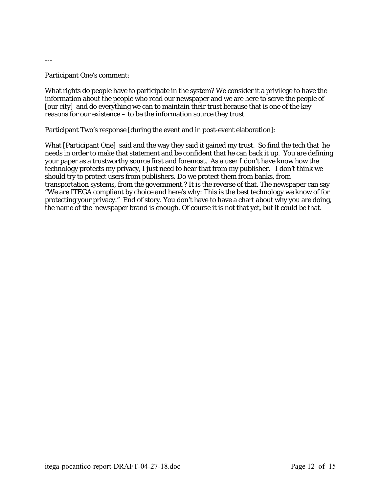---

#### Participant One's comment:

What rights do people have to participate in the system? We consider it a privilege to have the information about the people who read our newspaper and we are here to serve the people of [our city] and do everything we can to maintain their trust because that is one of the key reasons for our existence – to be the information source they trust.

Participant Two's response [during the event and in post-event elaboration]:

What [Participant One] said and the way they said it gained my trust. So find the tech that he needs in order to make that statement and be confident that he can back it up. You are defining your paper as a trustworthy source first and foremost. As a user I don't have know how the technology protects my privacy, I just need to hear that from my publisher. I don't think we should try to protect users from publishers. Do we protect them from banks, from transportation systems, from the government.? It is the reverse of that. The newspaper can say "We are ITEGA compliant by choice and here's why: This is the best technology we know of for protecting your privacy." End of story. You don't have to have a chart about why you are doing, the name of the newspaper brand is enough. Of course it is not that yet, but it could be that.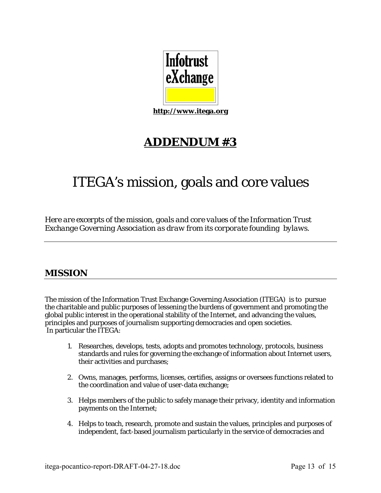

**http://www.itega.org**

## **ADDENDUM #3**

# ITEGA's mission, goals and core values

*Here are excerpts of the mission, goals and core values of the Information Trust Exchange Governing Association as draw from its corporate founding bylaws.* 

### **MISSION**

The mission of the Information Trust Exchange Governing Association (ITEGA) is to pursue the charitable and public purposes of lessening the burdens of government and promoting the global public interest in the operational stability of the Internet, and advancing the values, principles and purposes of journalism supporting democracies and open societies. In particular the ITEGA:

- 1. Researches, develops, tests, adopts and promotes technology, protocols, business standards and rules for governing the exchange of information about Internet users, their activities and purchases;
- 2. Owns, manages, performs, licenses, certifies, assigns or oversees functions related to the coordination and value of user-data exchange;
- 3. Helps members of the public to safely manage their privacy, identity and information payments on the Internet;
- 4. Helps to teach, research, promote and sustain the values, principles and purposes of independent, fact-based journalism particularly in the service of democracies and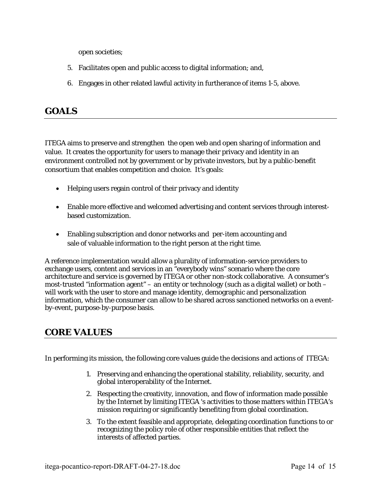open societies;

- 5. Facilitates open and public access to digital information; and,
- 6. Engages in other related lawful activity in furtherance of items 1-5, above.

### **GOALS**

ITEGA aims to preserve and strengthen the open web and open sharing of information and value. It creates the opportunity for users to manage their privacy and identity in an environment controlled not by government or by private investors, but by a public-benefit consortium that enables competition and choice. It's goals:

- Helping users regain control of their privacy and identity
- Enable more effective and welcomed advertising and content services through interestbased customization.
- Enabling subscription and donor networks and per-item accounting and sale of valuable information to the right person at the right time.

A reference implementation would allow a plurality of information-service providers to exchange users, content and services in an "everybody wins" scenario where the core architecture and service is governed by ITEGA or other non-stock collaborative. A consumer's most-trusted "information agent" – an entity or technology (such as a digital wallet) or both – will work with the user to store and manage identity, demographic and personalization information, which the consumer can allow to be shared across sanctioned networks on a eventby-event, purpose-by-purpose basis.

### **CORE VALUES**

In performing its mission, the following core values guide the decisions and actions of ITEGA:

- 1. Preserving and enhancing the operational stability, reliability, security, and global interoperability of the Internet.
- 2. Respecting the creativity, innovation, and flow of information made possible by the Internet by limiting ITEGA 's activities to those matters within ITEGA's mission requiring or significantly benefiting from global coordination.
- 3. To the extent feasible and appropriate, delegating coordination functions to or recognizing the policy role of other responsible entities that reflect the interests of affected parties.